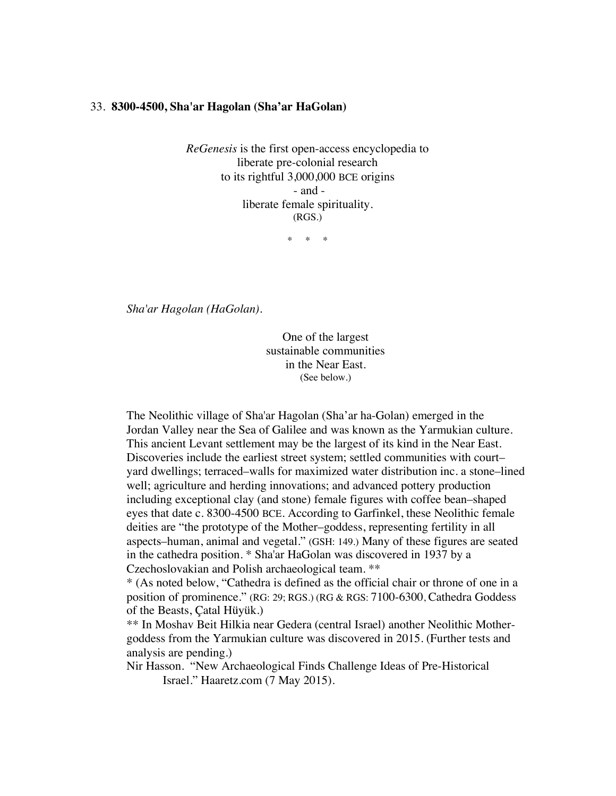## 33. **8300-4500, Sha'ar Hagolan (Sha'ar HaGolan)**

*ReGenesis* is the first open-access encyclopedia to liberate pre-colonial research to its rightful 3,000,000 BCE origins - and liberate female spirituality. (RGS.)

\* \* \*

*Sha'ar Hagolan (HaGolan).*

One of the largest sustainable communities in the Near East. (See below.)

The Neolithic village of Sha'ar Hagolan (Sha'ar ha-Golan) emerged in the Jordan Valley near the Sea of Galilee and was known as the Yarmukian culture. This ancient Levant settlement may be the largest of its kind in the Near East. Discoveries include the earliest street system; settled communities with court– yard dwellings; terraced–walls for maximized water distribution inc. a stone–lined well; agriculture and herding innovations; and advanced pottery production including exceptional clay (and stone) female figures with coffee bean–shaped eyes that date c. 8300-4500 BCE. According to Garfinkel, these Neolithic female deities are "the prototype of the Mother–goddess, representing fertility in all aspects–human, animal and vegetal." (GSH: 149.) Many of these figures are seated in the cathedra position. \* Sha'ar HaGolan was discovered in 1937 by a Czechoslovakian and Polish archaeological team. \*\*

\* (As noted below, "Cathedra is defined as the official chair or throne of one in a position of prominence." (RG: 29; RGS.) (RG & RGS: 7100-6300, Cathedra Goddess of the Beasts, Çatal Hüyük.)

\*\* In Moshav Beit Hilkia near Gedera (central Israel) another Neolithic Mothergoddess from the Yarmukian culture was discovered in 2015. (Further tests and analysis are pending.)

Nir Hasson. "New Archaeological Finds Challenge Ideas of Pre-Historical Israel." Haaretz.com (7 May 2015).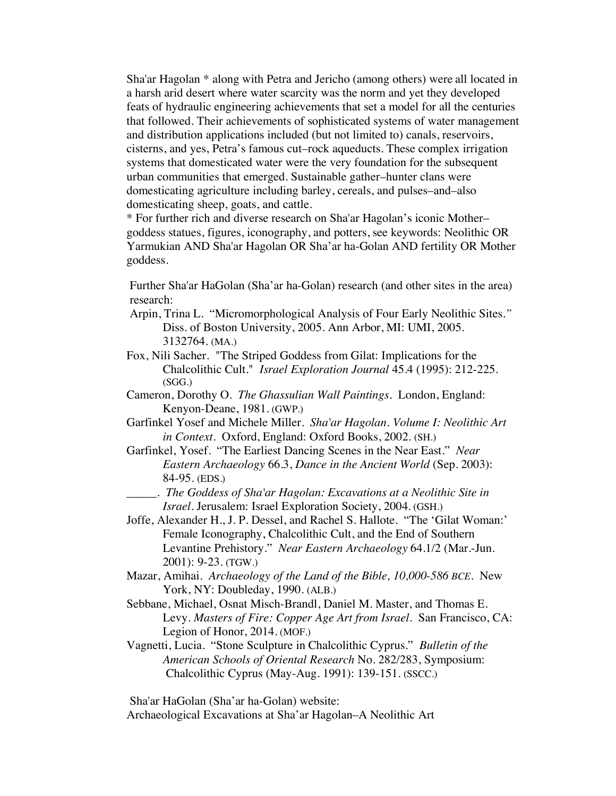Sha'ar Hagolan \* along with Petra and Jericho (among others) were all located in a harsh arid desert where water scarcity was the norm and yet they developed feats of hydraulic engineering achievements that set a model for all the centuries that followed. Their achievements of sophisticated systems of water management and distribution applications included (but not limited to) canals, reservoirs, cisterns, and yes, Petra's famous cut–rock aqueducts. These complex irrigation systems that domesticated water were the very foundation for the subsequent urban communities that emerged. Sustainable gather–hunter clans were domesticating agriculture including barley, cereals, and pulses–and–also domesticating sheep, goats, and cattle.

\* For further rich and diverse research on Sha'ar Hagolan's iconic Mother– goddess statues, figures, iconography, and potters, see keywords: Neolithic OR Yarmukian AND Sha'ar Hagolan OR Sha'ar ha-Golan AND fertility OR Mother goddess.

Further Sha'ar HaGolan (Sha'ar ha-Golan) research (and other sites in the area) research:

- Arpin, Trina L. "Micromorphological Analysis of Four Early Neolithic Sites.*"* Diss. of Boston University, 2005. Ann Arbor, MI: UMI, 2005. 3132764. (MA.)
- Fox, Nili Sacher. "The Striped Goddess from Gilat: Implications for the Chalcolithic Cult." *Israel Exploration Journal* 45.4 (1995): 212-225. (SGG.)
- Cameron, Dorothy O. *The Ghassulian Wall Paintings*. London, England: Kenyon-Deane, 1981. (GWP.)
- Garfinkel Yosef and Michele Miller. *Sha'ar Hagolan. Volume I: Neolithic Art in Context*. Oxford, England: Oxford Books, 2002. (SH.)
- Garfinkel, Yosef. "The Earliest Dancing Scenes in the Near East." *Near Eastern Archaeology* 66.3, *Dance in the Ancient World* (Sep. 2003): 84-95. (EDS.)
	- \_\_\_\_\_. *The Goddess of Sha'ar Hagolan: Excavations at a Neolithic Site in Israel*. Jerusalem: Israel Exploration Society, 2004. (GSH.)
- Joffe, Alexander H., J. P. Dessel, and Rachel S. Hallote. "The 'Gilat Woman:' Female Iconography, Chalcolithic Cult, and the End of Southern Levantine Prehistory." *Near Eastern Archaeology* 64.1/2 (Mar.-Jun. 2001): 9-23. (TGW.)
- Mazar, Amihai. *Archaeology of the Land of the Bible, 10,000-586 BCE.* New York, NY: Doubleday, 1990. (ALB.)
- Sebbane, Michael, Osnat Misch-Brandl, Daniel M. Master, and Thomas E. Levy. *Masters of Fire: Copper Age Art from Israel.* San Francisco, CA: Legion of Honor, 2014. (MOF.)
- Vagnetti, Lucia. "Stone Sculpture in Chalcolithic Cyprus." *Bulletin of the American Schools of Oriental Research* No. 282/283, Symposium: Chalcolithic Cyprus (May-Aug. 1991): 139-151. (SSCC.)

Sha'ar HaGolan (Sha'ar ha-Golan) website: Archaeological Excavations at Sha'ar Hagolan–A Neolithic Art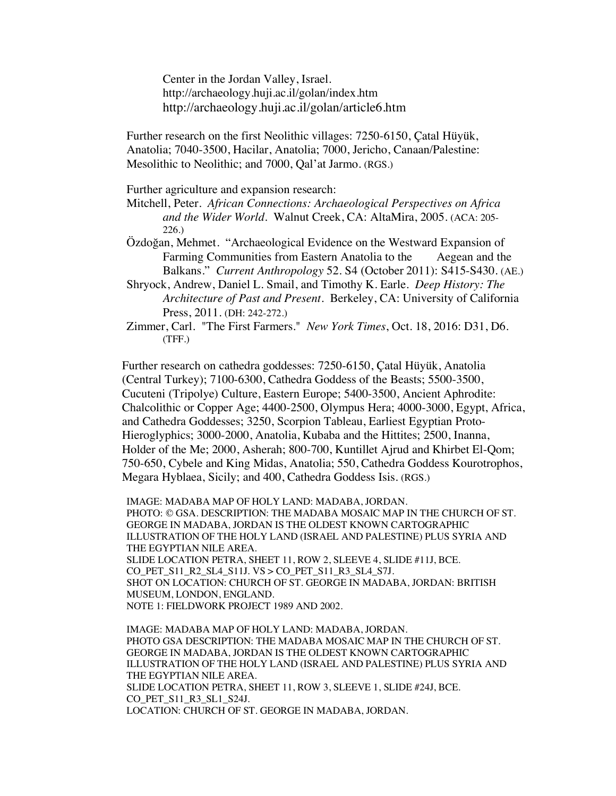Center in the Jordan Valley, Israel. http://archaeology.huji.ac.il/golan/index.htm http://archaeology.huji.ac.il/golan/article6.htm

Further research on the first Neolithic villages: 7250-6150, Çatal Hüyük, Anatolia; 7040-3500, Hacilar, Anatolia; 7000, Jericho, Canaan/Palestine: Mesolithic to Neolithic; and 7000, Qal'at Jarmo. (RGS.)

Further agriculture and expansion research:

Mitchell, Peter. *African Connections: Archaeological Perspectives on Africa and the Wider World*. Walnut Creek, CA: AltaMira, 2005. (ACA: 205- 226.)

- Özdoğan, Mehmet. "Archaeological Evidence on the Westward Expansion of Farming Communities from Eastern Anatolia to the Aegean and the Balkans." *Current Anthropology* 52. S4 (October 2011): S415-S430. (AE.)
- Shryock, Andrew, Daniel L. Smail, and Timothy K. Earle. *Deep History: The Architecture of Past and Present*. Berkeley, CA: University of California Press, 2011. (DH: 242-272.)

Zimmer, Carl. "The First Farmers." *New York Times*, Oct. 18, 2016: D31, D6. (TFF.)

Further research on cathedra goddesses: 7250-6150, Çatal Hüyük, Anatolia (Central Turkey); 7100-6300, Cathedra Goddess of the Beasts; 5500-3500, Cucuteni (Tripolye) Culture, Eastern Europe; 5400-3500, Ancient Aphrodite: Chalcolithic or Copper Age; 4400-2500, Olympus Hera; 4000-3000, Egypt, Africa, and Cathedra Goddesses; 3250, Scorpion Tableau, Earliest Egyptian Proto-Hieroglyphics; 3000-2000, Anatolia, Kubaba and the Hittites; 2500, Inanna, Holder of the Me; 2000, Asherah; 800-700, Kuntillet Ajrud and Khirbet El-Qom; 750-650, Cybele and King Midas, Anatolia; 550, Cathedra Goddess Kourotrophos, Megara Hyblaea, Sicily; and 400, Cathedra Goddess Isis. (RGS.)

IMAGE: MADABA MAP OF HOLY LAND: MADABA, JORDAN. PHOTO: © GSA. DESCRIPTION: THE MADABA MOSAIC MAP IN THE CHURCH OF ST. GEORGE IN MADABA, JORDAN IS THE OLDEST KNOWN CARTOGRAPHIC ILLUSTRATION OF THE HOLY LAND (ISRAEL AND PALESTINE) PLUS SYRIA AND THE EGYPTIAN NILE AREA. SLIDE LOCATION PETRA, SHEET 11, ROW 2, SLEEVE 4, SLIDE #11J, BCE. CO\_PET\_S11\_R2\_SL4\_S11J. VS > CO\_PET\_S11\_R3\_SL4\_S7J. SHOT ON LOCATION: CHURCH OF ST. GEORGE IN MADABA, JORDAN: BRITISH MUSEUM, LONDON, ENGLAND. NOTE 1: FIELDWORK PROJECT 1989 AND 2002.

IMAGE: MADABA MAP OF HOLY LAND: MADABA, JORDAN. PHOTO GSA DESCRIPTION: THE MADABA MOSAIC MAP IN THE CHURCH OF ST. GEORGE IN MADABA, JORDAN IS THE OLDEST KNOWN CARTOGRAPHIC ILLUSTRATION OF THE HOLY LAND (ISRAEL AND PALESTINE) PLUS SYRIA AND THE EGYPTIAN NILE AREA. SLIDE LOCATION PETRA, SHEET 11, ROW 3, SLEEVE 1, SLIDE #24J, BCE. CO\_PET\_S11\_R3\_SL1\_S24J. LOCATION: CHURCH OF ST. GEORGE IN MADABA, JORDAN.